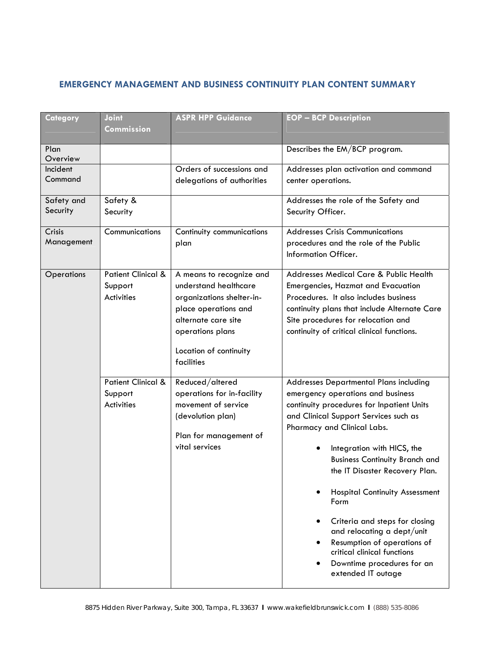## **EMERGENCY MANAGEMENT AND BUSINESS CONTINUITY PLAN CONTENT SUMMARY**

| Category               | Joint<br><b>Commission</b>                                                                                                                                                                                                                                               | <b>ASPR HPP Guidance</b>                                                                                                              | <b>EOP - BCP Description</b>                                                                                                                                                                                                                                                                                                                                                                                                                                                                                                                 |
|------------------------|--------------------------------------------------------------------------------------------------------------------------------------------------------------------------------------------------------------------------------------------------------------------------|---------------------------------------------------------------------------------------------------------------------------------------|----------------------------------------------------------------------------------------------------------------------------------------------------------------------------------------------------------------------------------------------------------------------------------------------------------------------------------------------------------------------------------------------------------------------------------------------------------------------------------------------------------------------------------------------|
| Plan<br>Overview       |                                                                                                                                                                                                                                                                          |                                                                                                                                       | Describes the EM/BCP program.                                                                                                                                                                                                                                                                                                                                                                                                                                                                                                                |
| Incident<br>Command    |                                                                                                                                                                                                                                                                          | Orders of successions and<br>delegations of authorities                                                                               | Addresses plan activation and command<br>center operations.                                                                                                                                                                                                                                                                                                                                                                                                                                                                                  |
| Safety and<br>Security | Safety &<br>Security                                                                                                                                                                                                                                                     |                                                                                                                                       | Addresses the role of the Safety and<br>Security Officer.                                                                                                                                                                                                                                                                                                                                                                                                                                                                                    |
| Crisis<br>Management   | Communications                                                                                                                                                                                                                                                           | Continuity communications<br>plan                                                                                                     | <b>Addresses Crisis Communications</b><br>procedures and the role of the Public<br>Information Officer.                                                                                                                                                                                                                                                                                                                                                                                                                                      |
|                        | <b>Patient Clinical &amp;</b><br>Operations<br>A means to recognize and<br>understand healthcare<br>Support<br><b>Activities</b><br>organizations shelter-in-<br>place operations and<br>alternate care site<br>operations plans<br>Location of continuity<br>facilities |                                                                                                                                       | Addresses Medical Care & Public Health<br>Emergencies, Hazmat and Evacuation<br>Procedures. It also includes business<br>continuity plans that include Alternate Care<br>Site procedures for relocation and<br>continuity of critical clinical functions.                                                                                                                                                                                                                                                                                    |
|                        | <b>Patient Clinical &amp;</b><br>Support<br><b>Activities</b>                                                                                                                                                                                                            | Reduced/altered<br>operations for in-facility<br>movement of service<br>(devolution plan)<br>Plan for management of<br>vital services | Addresses Departmental Plans including<br>emergency operations and business<br>continuity procedures for Inpatient Units<br>and Clinical Support Services such as<br>Pharmacy and Clinical Labs.<br>Integration with HICS, the<br><b>Business Continuity Branch and</b><br>the IT Disaster Recovery Plan.<br><b>Hospital Continuity Assessment</b><br>Form<br>Criteria and steps for closing<br>and relocating a dept/unit<br>Resumption of operations of<br>critical clinical functions<br>Downtime procedures for an<br>extended IT outage |